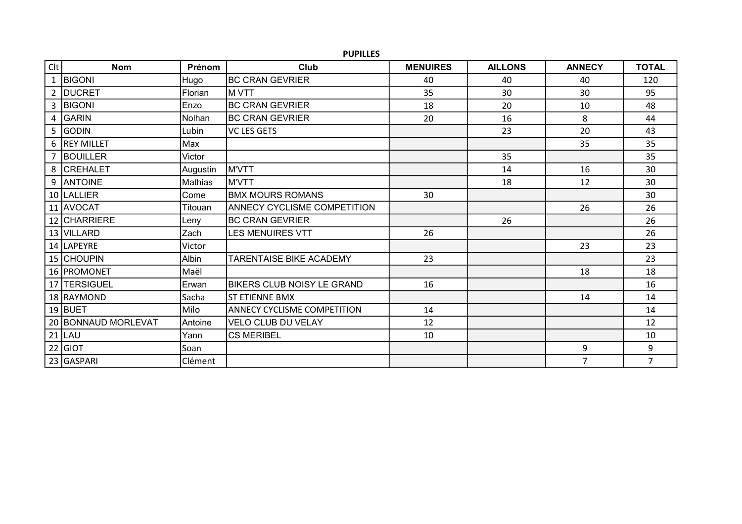## PUPILLES

| <b>Clt</b> | <b>Nom</b>          | <b>Prénom</b>  | Club                           | <b>MENUIRES</b> | <b>AILLONS</b> | <b>ANNECY</b>  | <b>TOTAL</b>   |
|------------|---------------------|----------------|--------------------------------|-----------------|----------------|----------------|----------------|
|            | 1   BIGONI          | Hugo           | <b>IBC CRAN GEVRIER</b>        | 40              | 40             | 40             | 120            |
|            | 2 DUCRET            | Florian        | M VTT                          | 35              | 30             | 30             | 95             |
|            | 3 BIGONI            | Enzo           | <b>BC CRAN GEVRIER</b>         | 18              | 20             | 10             | 48             |
|            | 4 GARIN             | Nolhan         | <b>BC CRAN GEVRIER</b>         | 20              | 16             | 8              | 44             |
|            | 5 GODIN             | Lubin          | <b>VC LES GETS</b>             |                 | 23             | 20             | 43             |
|            | 6 REY MILLET        | Max            |                                |                 |                | 35             | 35             |
|            | 7 BOUILLER          | Victor         |                                |                 | 35             |                | 35             |
|            | 8 CREHALET          | Augustin       | M'VTT                          |                 | 14             | 16             | 30             |
|            | 9 ANTOINE           | <b>Mathias</b> | M'VTT                          |                 | 18             | 12             | 30             |
|            | 10  LALLIER         | Come           | <b>BMX MOURS ROMANS</b>        | 30              |                |                | 30             |
|            | 11 AVOCAT           | Titouan        | ANNECY CYCLISME COMPETITION    |                 |                | 26             | 26             |
|            | 12 CHARRIERE        | Leny           | <b>BC CRAN GEVRIER</b>         |                 | 26             |                | 26             |
|            | 13 VILLARD          | Zach           | <b>LES MENUIRES VTT</b>        | 26              |                |                | 26             |
|            | 14   LAPEYRE        | Victor         |                                |                 |                | 23             | 23             |
|            | 15 CHOUPIN          | <b>Albin</b>   | <b>TARENTAISE BIKE ACADEMY</b> | 23              |                |                | 23             |
|            | 16 PROMONET         | Maël           |                                |                 |                | 18             | 18             |
|            | 17 TERSIGUEL        | Erwan          | IBIKERS CLUB NOISY LE GRAND    | 16              |                |                | 16             |
|            | 18 RAYMOND          | Sacha          | IST ETIENNE BMX                |                 |                | 14             | 14             |
|            | 19 BUET             | Milo           | ANNECY CYCLISME COMPETITION    | 14              |                |                | 14             |
|            | 20 BONNAUD MORLEVAT | Antoine        | <b>VELO CLUB DU VELAY</b>      | 12              |                |                | 12             |
|            | $21$ LAU            | Yann           | <b>CS MERIBEL</b>              | 10              |                |                | 10             |
|            | $22$ GIOT           | Soan           |                                |                 |                | 9              | 9              |
|            | 23 GASPARI          | Clément        |                                |                 |                | $\overline{7}$ | $\overline{7}$ |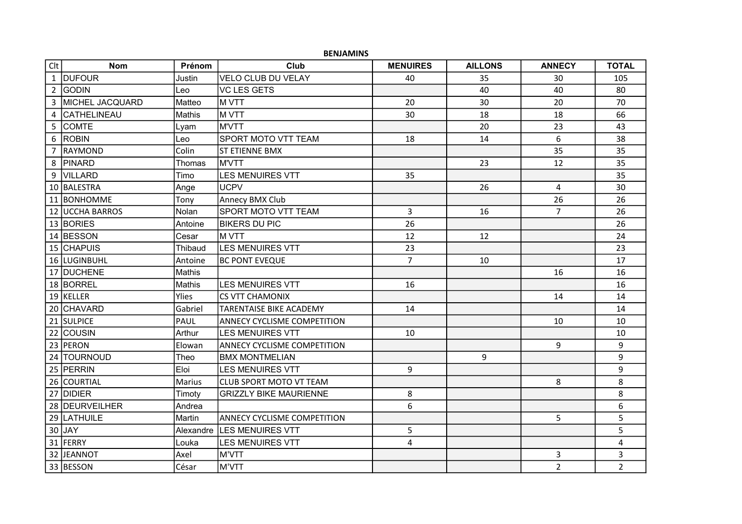|                | <b>BENJAMINS</b>       |               |                                    |                 |                |                |                |  |
|----------------|------------------------|---------------|------------------------------------|-----------------|----------------|----------------|----------------|--|
| C <sub>l</sub> | <b>Nom</b>             | Prénom        | Club                               | <b>MENUIRES</b> | <b>AILLONS</b> | <b>ANNECY</b>  | <b>TOTAL</b>   |  |
|                | 1 DUFOUR               | Justin        | <b>VELO CLUB DU VELAY</b>          | 40              | 35             | 30             | 105            |  |
|                | 2 GODIN                | Leo           | <b>VC LES GETS</b>                 |                 | 40             | 40             | 80             |  |
|                | 3 MICHEL JACQUARD      | Matteo        | <b>M VTT</b>                       | 20              | 30             | 20             | 70             |  |
|                | 4   CATHELINEAU        | Mathis        | M VTT                              | 30              | 18             | 18             | 66             |  |
|                | 5 COMTE                | Lyam          | <b>M'VTT</b>                       |                 | 20             | 23             | 43             |  |
|                | 6 ROBIN                | Leo           | <b>SPORT MOTO VTT TEAM</b>         | 18              | 14             | 6              | 38             |  |
|                | 7 RAYMOND              | Colin         | ST ETIENNE BMX                     |                 |                | 35             | 35             |  |
|                | 8 PINARD               | Thomas        | <b>M'VTT</b>                       |                 | 23             | 12             | 35             |  |
|                | 9 VILLARD              | Timo          | <b>LES MENUIRES VTT</b>            | 35              |                |                | 35             |  |
|                | 10 BALESTRA            | Ange          | lucpv                              |                 | 26             | 4              | 30             |  |
|                | 11 BONHOMME            | Tony          | Annecy BMX Club                    |                 |                | 26             | 26             |  |
|                | <b>12 UCCHA BARROS</b> | Nolan         | <b>SPORT MOTO VTT TEAM</b>         | 3               | 16             | $\overline{7}$ | 26             |  |
|                | 13 BORIES              | Antoine       | <b>BIKERS DU PIC</b>               | 26              |                |                | 26             |  |
|                | 14 BESSON              | Cesar         | IM VTT                             | 12              | 12             |                | 24             |  |
|                | 15 CHAPUIS             | Thibaud       | <b>LES MENUIRES VTT</b>            | 23              |                |                | 23             |  |
|                | 16 LUGINBUHL           | Antoine       | <b>BC PONT EVEQUE</b>              | $\overline{7}$  | 10             |                | 17             |  |
|                | 17 DUCHENE             | Mathis        |                                    |                 |                | 16             | 16             |  |
|                | 18 BORREL              | Mathis        | <b>LES MENUIRES VTT</b>            | 16              |                |                | 16             |  |
|                | 19 KELLER              | Ylies         | <b>CS VTT CHAMONIX</b>             |                 |                | 14             | 14             |  |
|                | 20 CHAVARD             | Gabriel       | <b>TARENTAISE BIKE ACADEMY</b>     | 14              |                |                | 14             |  |
|                | 21 SULPICE             | PAUL          | ANNECY CYCLISME COMPETITION        |                 |                | 10             | 10             |  |
|                | 22 COUSIN              | Arthur        | <b>LES MENUIRES VTT</b>            | 10              |                |                | 10             |  |
|                | 23 PERON               | Elowan        | <b>ANNECY CYCLISME COMPETITION</b> |                 |                | 9              | 9              |  |
|                | 24 TOURNOUD            | Theo          | <b>BMX MONTMELIAN</b>              |                 | 9              |                | 9              |  |
|                | 25 PERRIN              | Eloi          | <b>LES MENUIRES VTT</b>            | 9               |                |                | 9              |  |
|                | 26 COURTIAL            | <b>Marius</b> | <b>CLUB SPORT MOTO VT TEAM</b>     |                 |                | 8              | 8              |  |
|                | 27 DIDIER              | Timoty        | <b>GRIZZLY BIKE MAURIENNE</b>      | 8               |                |                | 8              |  |
|                | 28 DEURVEILHER         | Andrea        |                                    | 6               |                |                | 6              |  |
|                | 29 LATHUILE            | Martin        | <b>ANNECY CYCLISME COMPETITION</b> |                 |                | 5              | 5              |  |
|                | $30$ JAY               |               | Alexandre LES MENUIRES VTT         | 5               |                |                | 5              |  |
|                | 31 FERRY               | Louka         | <b>LES MENUIRES VTT</b>            | $\overline{4}$  |                |                | 4              |  |
|                | 32 JEANNOT             | Axel          | M'VTT                              |                 |                | 3              | 3              |  |
|                | 33 BESSON              | César         | M'VTT                              |                 |                | $\overline{2}$ | $\overline{2}$ |  |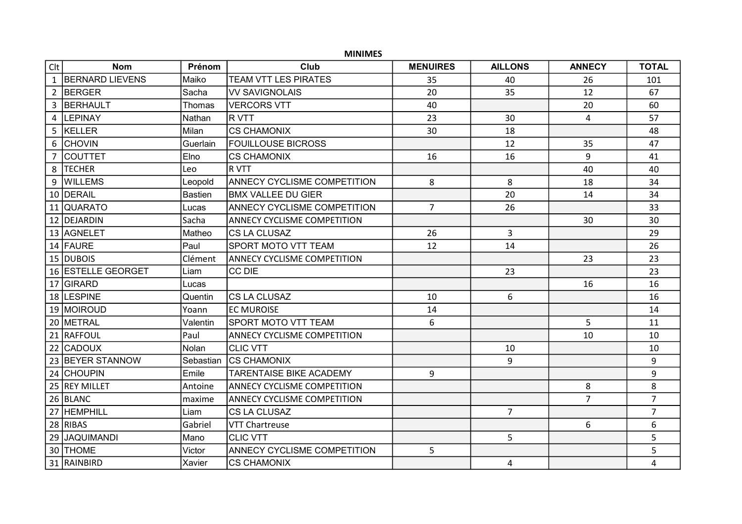## MINIMES

| Clt | <b>Nom</b>         | Prénom         | Club                               | <b>MENUIRES</b> | <b>AILLONS</b> | <b>ANNECY</b>  | <b>TOTAL</b>   |
|-----|--------------------|----------------|------------------------------------|-----------------|----------------|----------------|----------------|
|     | 1 BERNARD LIEVENS  | Maiko          | <b>TEAM VTT LES PIRATES</b>        | 35              | 40             | 26             | 101            |
|     | 2 BERGER           | Sacha          | <b>VV SAVIGNOLAIS</b>              | 20              | 35             | 12             | 67             |
|     | 3 BERHAULT         | Thomas         | <b>VERCORS VTT</b>                 | 40              |                | 20             | 60             |
|     | 4  LEPINAY         | Nathan         | <b>RVTT</b>                        | 23              | 30             | 4              | 57             |
|     | 5 KELLER           | Milan          | <b>CS CHAMONIX</b>                 | 30              | 18             |                | 48             |
|     | 6 CHOVIN           | Guerlain       | <b>FOUILLOUSE BICROSS</b>          |                 | 12             | 35             | 47             |
|     | 7 COUTTET          | Elno           | <b>CS CHAMONIX</b>                 | 16              | 16             | 9              | 41             |
|     | 8  TECHER          | Leo            | R VTT                              |                 |                | 40             | 40             |
|     | 9 WILLEMS          | Leopold        | <b>ANNECY CYCLISME COMPETITION</b> | 8               | 8              | 18             | 34             |
|     | 10 DERAIL          | <b>Bastien</b> | <b>BMX VALLEE DU GIER</b>          |                 | 20             | 14             | 34             |
|     | 11 QUARATO         | Lucas          | ANNECY CYCLISME COMPETITION        | $\overline{7}$  | 26             |                | 33             |
|     | 12 DEJARDIN        | Sacha          | ANNECY CYCLISME COMPETITION        |                 |                | 30             | 30             |
|     | 13 AGNELET         | Matheo         | <b>CS LA CLUSAZ</b>                | 26              | $\overline{3}$ |                | 29             |
|     | 14 FAURE           | Paul           | SPORT MOTO VTT TEAM                | 12              | 14             |                | 26             |
|     | 15 DUBOIS          | Clément        | <b>ANNECY CYCLISME COMPETITION</b> |                 |                | 23             | 23             |
|     | 16 ESTELLE GEORGET | Liam           | <b>CC DIE</b>                      |                 | 23             |                | 23             |
|     | 17 GIRARD          | Lucas          |                                    |                 |                | 16             | 16             |
|     | 18 LESPINE         | Quentin        | CS LA CLUSAZ                       | 10              | 6              |                | 16             |
|     | 19 MOIROUD         | Yoann          | <b>EC MUROISE</b>                  | 14              |                |                | 14             |
|     | 20 METRAL          | Valentin       | <b>SPORT MOTO VTT TEAM</b>         | 6               |                | 5              | 11             |
|     | 21 RAFFOUL         | Paul           | ANNECY CYCLISME COMPETITION        |                 |                | 10             | 10             |
|     | 22 CADOUX          | Nolan          | <b>CLIC VTT</b>                    |                 | 10             |                | 10             |
|     | 23 BEYER STANNOW   | Sebastian      | ICS CHAMONIX                       |                 | 9              |                | 9              |
|     | 24 CHOUPIN         | Emile          | <b>TARENTAISE BIKE ACADEMY</b>     | 9               |                |                | 9              |
|     | 25 REY MILLET      | Antoine        | <b>ANNECY CYCLISME COMPETITION</b> |                 |                | 8              | 8              |
|     | 26 BLANC           | maxime         | <b>ANNECY CYCLISME COMPETITION</b> |                 |                | $\overline{7}$ | $\overline{7}$ |
|     | 27 HEMPHILL        | Liam           | <b>CS LA CLUSAZ</b>                |                 | $\overline{7}$ |                | $\overline{7}$ |
|     | 28 RIBAS           | Gabriel        | <b>VTT Chartreuse</b>              |                 |                | 6              | 6              |
|     | 29 JAQUIMANDI      | Mano           | <b>CLIC VTT</b>                    |                 | 5              |                | 5              |
|     | 30 THOME           | Victor         | ANNECY CYCLISME COMPETITION        | 5               |                |                | 5              |
|     | 31 RAINBIRD        | Xavier         | <b>CS CHAMONIX</b>                 |                 | 4              |                | $\overline{4}$ |